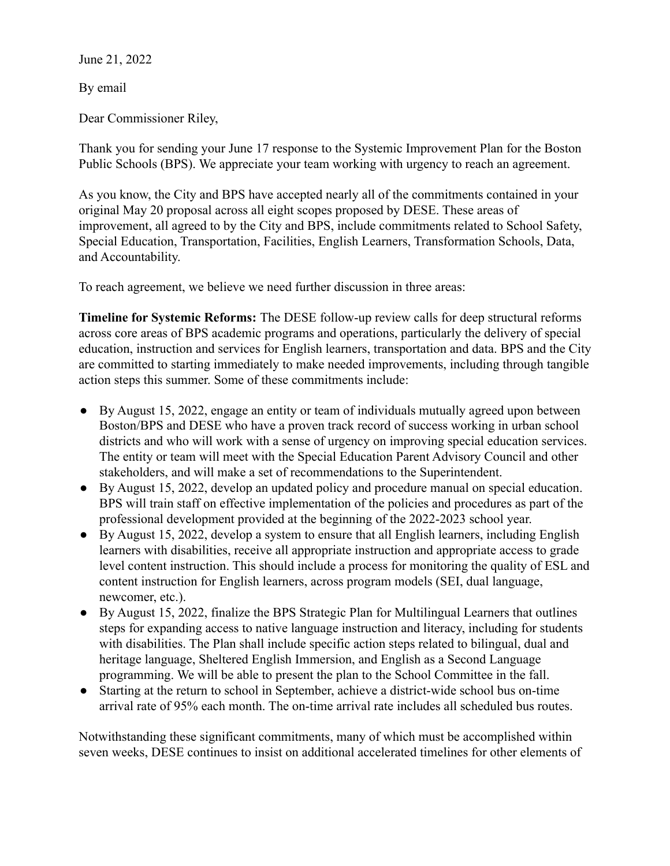June 21, 2022

By email

Dear Commissioner Riley,

Thank you for sending your June 17 response to the Systemic Improvement Plan for the Boston Public Schools (BPS). We appreciate your team working with urgency to reach an agreement.

As you know, the City and BPS have accepted nearly all of the commitments contained in your original May 20 proposal across all eight scopes proposed by DESE. These areas of improvement, all agreed to by the City and BPS, include commitments related to School Safety, Special Education, Transportation, Facilities, English Learners, Transformation Schools, Data, and Accountability.

To reach agreement, we believe we need further discussion in three areas:

**Timeline for Systemic Reforms:** The DESE follow-up review calls for deep structural reforms across core areas of BPS academic programs and operations, particularly the delivery of special education, instruction and services for English learners, transportation and data. BPS and the City are committed to starting immediately to make needed improvements, including through tangible action steps this summer. Some of these commitments include:

- By August 15, 2022, engage an entity or team of individuals mutually agreed upon between Boston/BPS and DESE who have a proven track record of success working in urban school districts and who will work with a sense of urgency on improving special education services. The entity or team will meet with the Special Education Parent Advisory Council and other stakeholders, and will make a set of recommendations to the Superintendent.
- By August 15, 2022, develop an updated policy and procedure manual on special education. BPS will train staff on effective implementation of the policies and procedures as part of the professional development provided at the beginning of the 2022-2023 school year.
- $\bullet$  By August 15, 2022, develop a system to ensure that all English learners, including English learners with disabilities, receive all appropriate instruction and appropriate access to grade level content instruction. This should include a process for monitoring the quality of ESL and content instruction for English learners, across program models (SEI, dual language, newcomer, etc.).
- By August 15, 2022, finalize the BPS Strategic Plan for Multilingual Learners that outlines steps for expanding access to native language instruction and literacy, including for students with disabilities. The Plan shall include specific action steps related to bilingual, dual and heritage language, Sheltered English Immersion, and English as a Second Language programming. We will be able to present the plan to the School Committee in the fall.
- Starting at the return to school in September, achieve a district-wide school bus on-time arrival rate of 95% each month. The on-time arrival rate includes all scheduled bus routes.

Notwithstanding these significant commitments, many of which must be accomplished within seven weeks, DESE continues to insist on additional accelerated timelines for other elements of